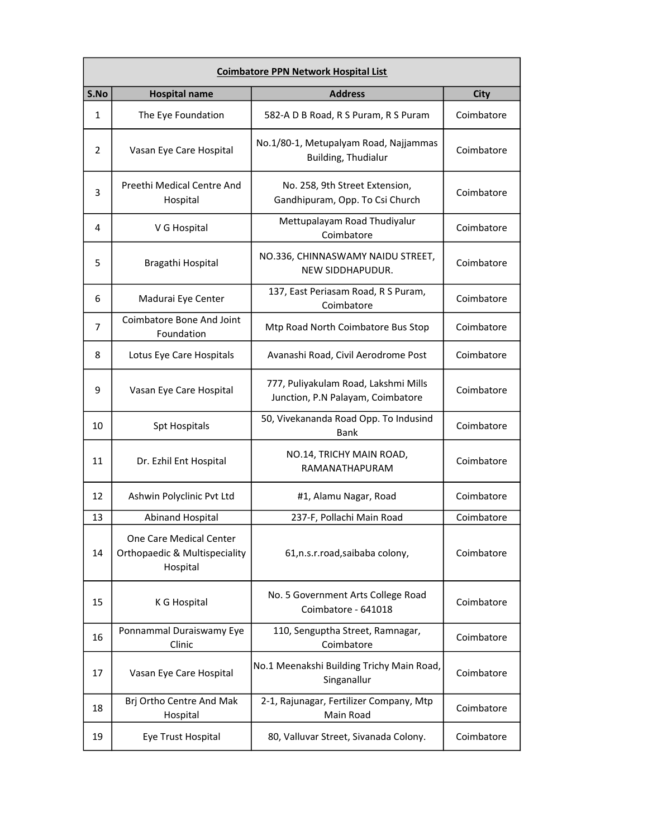| <b>Coimbatore PPN Network Hospital List</b> |                                                                                 |                                                                           |             |
|---------------------------------------------|---------------------------------------------------------------------------------|---------------------------------------------------------------------------|-------------|
| S.No                                        | <b>Hospital name</b>                                                            | <b>Address</b>                                                            | <b>City</b> |
| 1                                           | The Eye Foundation                                                              | 582-A D B Road, R S Puram, R S Puram                                      | Coimbatore  |
| 2                                           | Vasan Eye Care Hospital                                                         | No.1/80-1, Metupalyam Road, Najjammas<br>Building, Thudialur              | Coimbatore  |
| 3                                           | Preethi Medical Centre And<br>Hospital                                          | No. 258, 9th Street Extension,<br>Gandhipuram, Opp. To Csi Church         | Coimbatore  |
| 4                                           | V G Hospital                                                                    | Mettupalayam Road Thudiyalur<br>Coimbatore                                | Coimbatore  |
| 5                                           | Bragathi Hospital                                                               | NO.336, CHINNASWAMY NAIDU STREET,<br>NEW SIDDHAPUDUR.                     | Coimbatore  |
| 6                                           | Madurai Eye Center                                                              | 137, East Periasam Road, R S Puram,<br>Coimbatore                         | Coimbatore  |
| 7                                           | Coimbatore Bone And Joint<br>Foundation                                         | Mtp Road North Coimbatore Bus Stop                                        | Coimbatore  |
| 8                                           | Lotus Eye Care Hospitals                                                        | Avanashi Road, Civil Aerodrome Post                                       | Coimbatore  |
| 9                                           | Vasan Eye Care Hospital                                                         | 777, Puliyakulam Road, Lakshmi Mills<br>Junction, P.N Palayam, Coimbatore | Coimbatore  |
| 10                                          | <b>Spt Hospitals</b>                                                            | 50, Vivekananda Road Opp. To Indusind<br>Bank                             | Coimbatore  |
| 11                                          | Dr. Ezhil Ent Hospital                                                          | NO.14, TRICHY MAIN ROAD,<br>RAMANATHAPURAM                                | Coimbatore  |
| 12                                          | Ashwin Polyclinic Pvt Ltd                                                       | #1, Alamu Nagar, Road                                                     | Coimbatore  |
| 13                                          | <b>Abinand Hospital</b>                                                         | 237-F, Pollachi Main Road                                                 | Coimbatore  |
| 14                                          | One Care Medical Center<br><b>Orthopaedic &amp; Multispeciality</b><br>Hospital | 61,n.s.r.road,saibaba colony,                                             | Coimbatore  |
| 15                                          | K G Hospital                                                                    | No. 5 Government Arts College Road<br>Coimbatore - 641018                 | Coimbatore  |
| 16                                          | Ponnammal Duraiswamy Eye<br>Clinic                                              | 110, Senguptha Street, Ramnagar,<br>Coimbatore                            | Coimbatore  |
| 17                                          | Vasan Eye Care Hospital                                                         | No.1 Meenakshi Building Trichy Main Road,<br>Singanallur                  | Coimbatore  |
| 18                                          | Brj Ortho Centre And Mak<br>Hospital                                            | 2-1, Rajunagar, Fertilizer Company, Mtp<br>Main Road                      | Coimbatore  |
| 19                                          | Eye Trust Hospital                                                              | 80, Valluvar Street, Sivanada Colony.                                     | Coimbatore  |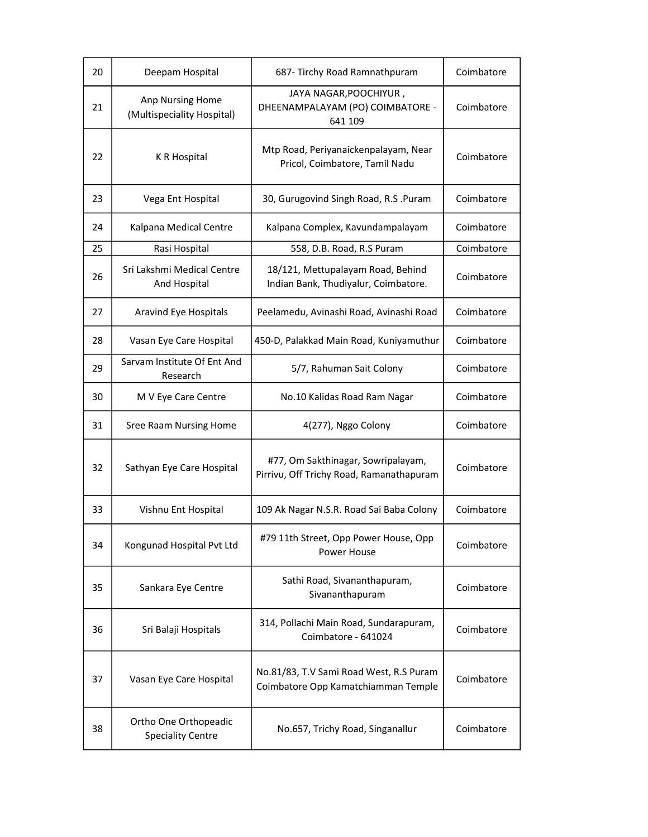| 20 | Deepam Hospital                                   | 687- Tirchy Road Ramnathpuram                                                  | Coimbatore |
|----|---------------------------------------------------|--------------------------------------------------------------------------------|------------|
| 21 | Anp Nursing Home<br>(Multispeciality Hospital)    | JAYA NAGAR, POOCHIYUR,<br>DHEENAMPALAYAM (PO) COIMBATORE -<br>641 109          | Coimbatore |
| 22 | K R Hospital                                      | Mtp Road, Periyanaickenpalayam, Near<br>Pricol, Coimbatore, Tamil Nadu         | Coimbatore |
| 23 | Vega Ent Hospital                                 | 30, Gurugovind Singh Road, R.S. Puram                                          | Coimbatore |
| 24 | Kalpana Medical Centre                            | Kalpana Complex, Kavundampalayam                                               | Coimbatore |
| 25 | Rasi Hospital                                     | 558, D.B. Road, R.S Puram                                                      | Coimbatore |
| 26 | Sri Lakshmi Medical Centre<br>And Hospital        | 18/121, Mettupalayam Road, Behind<br>Indian Bank, Thudiyalur, Coimbatore.      | Coimbatore |
| 27 | Aravind Eye Hospitals                             | Peelamedu, Avinashi Road, Avinashi Road                                        | Coimbatore |
| 28 | Vasan Eye Care Hospital                           | 450-D, Palakkad Main Road, Kuniyamuthur                                        | Coimbatore |
| 29 | Sarvam Institute Of Ent And<br>Research           | 5/7, Rahuman Sait Colony                                                       | Coimbatore |
| 30 | M V Eye Care Centre                               | No.10 Kalidas Road Ram Nagar                                                   | Coimbatore |
| 31 | Sree Raam Nursing Home                            | 4(277), Nggo Colony                                                            | Coimbatore |
| 32 | Sathyan Eye Care Hospital                         | #77, Om Sakthinagar, Sowripalayam,<br>Pirrivu, Off Trichy Road, Ramanathapuram | Coimbatore |
| 33 | Vishnu Ent Hospital                               | 109 Ak Nagar N.S.R. Road Sai Baba Colony                                       | Coimbatore |
| 34 | Kongunad Hospital Pvt Ltd                         | #79 11th Street, Opp Power House, Opp<br>Power House                           | Coimbatore |
| 35 | Sankara Eye Centre                                | Sathi Road, Sivananthapuram,<br>Sivananthapuram                                | Coimbatore |
| 36 | Sri Balaji Hospitals                              | 314, Pollachi Main Road, Sundarapuram,<br>Coimbatore - 641024                  | Coimbatore |
| 37 | Vasan Eye Care Hospital                           | No.81/83, T.V Sami Road West, R.S Puram<br>Coimbatore Opp Kamatchiamman Temple | Coimbatore |
| 38 | Ortho One Orthopeadic<br><b>Speciality Centre</b> | No.657, Trichy Road, Singanallur                                               | Coimbatore |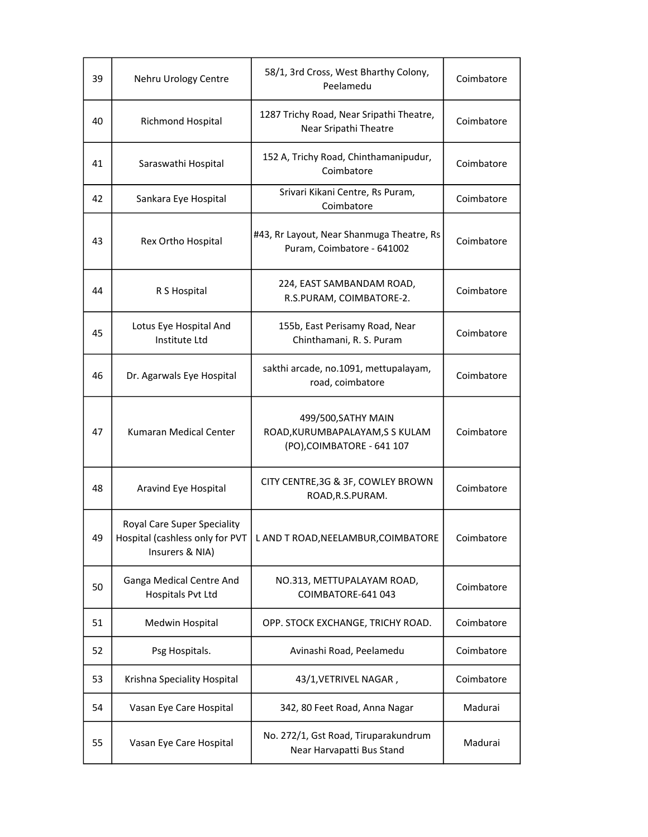| 39 | Nehru Urology Centre                                                              | 58/1, 3rd Cross, West Bharthy Colony,<br>Peelamedu                                   | Coimbatore |
|----|-----------------------------------------------------------------------------------|--------------------------------------------------------------------------------------|------------|
| 40 | Richmond Hospital                                                                 | 1287 Trichy Road, Near Sripathi Theatre,<br>Near Sripathi Theatre                    | Coimbatore |
| 41 | Saraswathi Hospital                                                               | 152 A, Trichy Road, Chinthamanipudur,<br>Coimbatore                                  | Coimbatore |
| 42 | Sankara Eye Hospital                                                              | Srivari Kikani Centre, Rs Puram,<br>Coimbatore                                       | Coimbatore |
| 43 | Rex Ortho Hospital                                                                | #43, Rr Layout, Near Shanmuga Theatre, Rs<br>Puram, Coimbatore - 641002              | Coimbatore |
| 44 | R S Hospital                                                                      | 224, EAST SAMBANDAM ROAD,<br>R.S.PURAM, COIMBATORE-2.                                | Coimbatore |
| 45 | Lotus Eye Hospital And<br>Institute Ltd                                           | 155b, East Perisamy Road, Near<br>Chinthamani, R. S. Puram                           | Coimbatore |
| 46 | Dr. Agarwals Eye Hospital                                                         | sakthi arcade, no.1091, mettupalayam,<br>road, coimbatore                            | Coimbatore |
| 47 | Kumaran Medical Center                                                            | 499/500, SATHY MAIN<br>ROAD, KURUMBAPALAYAM, S S KULAM<br>(PO), COIMBATORE - 641 107 | Coimbatore |
| 48 | Aravind Eye Hospital                                                              | CITY CENTRE, 3G & 3F, COWLEY BROWN<br>ROAD, R.S.PURAM.                               | Coimbatore |
| 49 | Royal Care Super Speciality<br>Hospital (cashless only for PVT<br>Insurers & NIA) | L AND T ROAD, NEELAMBUR, COIMBATORE                                                  | Coimbatore |
| 50 | Ganga Medical Centre And<br>Hospitals Pvt Ltd                                     | NO.313, METTUPALAYAM ROAD,<br>COIMBATORE-641 043                                     | Coimbatore |
| 51 | Medwin Hospital                                                                   | OPP. STOCK EXCHANGE, TRICHY ROAD.                                                    | Coimbatore |
| 52 | Psg Hospitals.                                                                    | Avinashi Road, Peelamedu                                                             | Coimbatore |
| 53 | Krishna Speciality Hospital                                                       | 43/1, VETRIVEL NAGAR,                                                                | Coimbatore |
| 54 | Vasan Eye Care Hospital                                                           | 342, 80 Feet Road, Anna Nagar                                                        | Madurai    |
| 55 | Vasan Eye Care Hospital                                                           | No. 272/1, Gst Road, Tiruparakundrum<br>Near Harvapatti Bus Stand                    | Madurai    |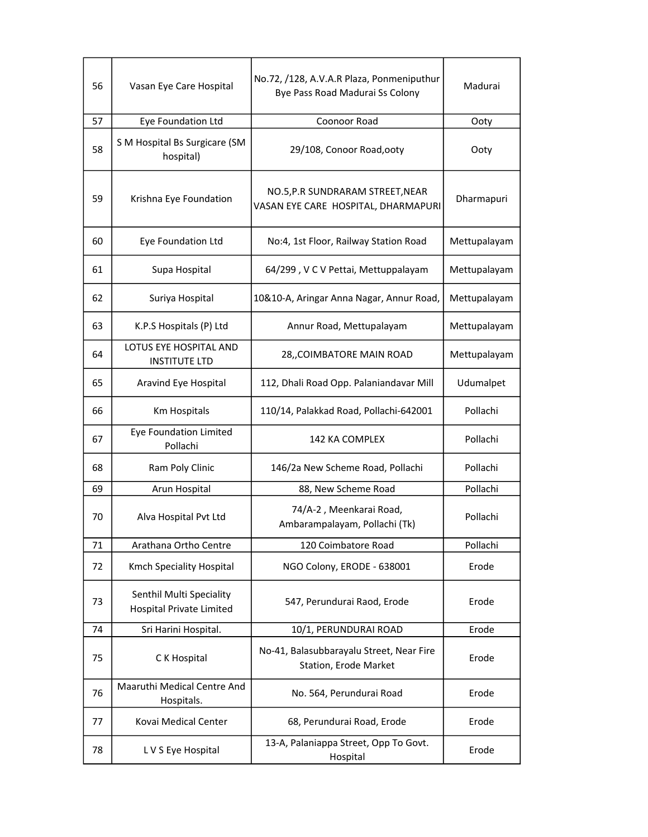| 56 | Vasan Eye Care Hospital                                     | No.72, /128, A.V.A.R Plaza, Ponmeniputhur<br>Bye Pass Road Madurai Ss Colony | Madurai      |
|----|-------------------------------------------------------------|------------------------------------------------------------------------------|--------------|
| 57 | Eye Foundation Ltd                                          | Coonoor Road                                                                 | Ooty         |
| 58 | S M Hospital Bs Surgicare (SM<br>hospital)                  | 29/108, Conoor Road, ooty                                                    | Ooty         |
| 59 | Krishna Eye Foundation                                      | NO.5, P.R SUNDRARAM STREET, NEAR<br>VASAN EYE CARE HOSPITAL, DHARMAPURI      | Dharmapuri   |
| 60 | Eye Foundation Ltd                                          | No:4, 1st Floor, Railway Station Road                                        | Mettupalayam |
| 61 | Supa Hospital                                               | 64/299, V C V Pettai, Mettuppalayam                                          | Mettupalayam |
| 62 | Suriya Hospital                                             | 10&10-A, Aringar Anna Nagar, Annur Road,                                     | Mettupalayam |
| 63 | K.P.S Hospitals (P) Ltd                                     | Annur Road, Mettupalayam                                                     | Mettupalayam |
| 64 | LOTUS EYE HOSPITAL AND<br><b>INSTITUTE LTD</b>              | 28, COIMBATORE MAIN ROAD                                                     | Mettupalayam |
| 65 | Aravind Eye Hospital                                        | 112, Dhali Road Opp. Palaniandavar Mill                                      | Udumalpet    |
| 66 | Km Hospitals                                                | 110/14, Palakkad Road, Pollachi-642001                                       | Pollachi     |
| 67 | <b>Eye Foundation Limited</b><br>Pollachi                   | 142 KA COMPLEX                                                               | Pollachi     |
| 68 | Ram Poly Clinic                                             | 146/2a New Scheme Road, Pollachi                                             | Pollachi     |
| 69 | Arun Hospital                                               | 88, New Scheme Road                                                          | Pollachi     |
| 70 | Alva Hospital Pvt Ltd                                       | 74/A-2, Meenkarai Road,<br>Ambarampalayam, Pollachi (Tk)                     | Pollachi     |
| 71 | Arathana Ortho Centre                                       | 120 Coimbatore Road                                                          | Pollachi     |
| 72 | Kmch Speciality Hospital                                    | NGO Colony, ERODE - 638001                                                   | Erode        |
| 73 | Senthil Multi Speciality<br><b>Hospital Private Limited</b> | 547, Perundurai Raod, Erode                                                  | Erode        |
| 74 | Sri Harini Hospital.                                        | 10/1, PERUNDURAI ROAD                                                        | Erode        |
| 75 | C K Hospital                                                | No-41, Balasubbarayalu Street, Near Fire<br>Station, Erode Market            | Erode        |
| 76 | Maaruthi Medical Centre And<br>Hospitals.                   | No. 564, Perundurai Road                                                     | Erode        |
| 77 | Kovai Medical Center                                        | 68, Perundurai Road, Erode                                                   | Erode        |
| 78 | L V S Eye Hospital                                          | 13-A, Palaniappa Street, Opp To Govt.<br>Hospital                            | Erode        |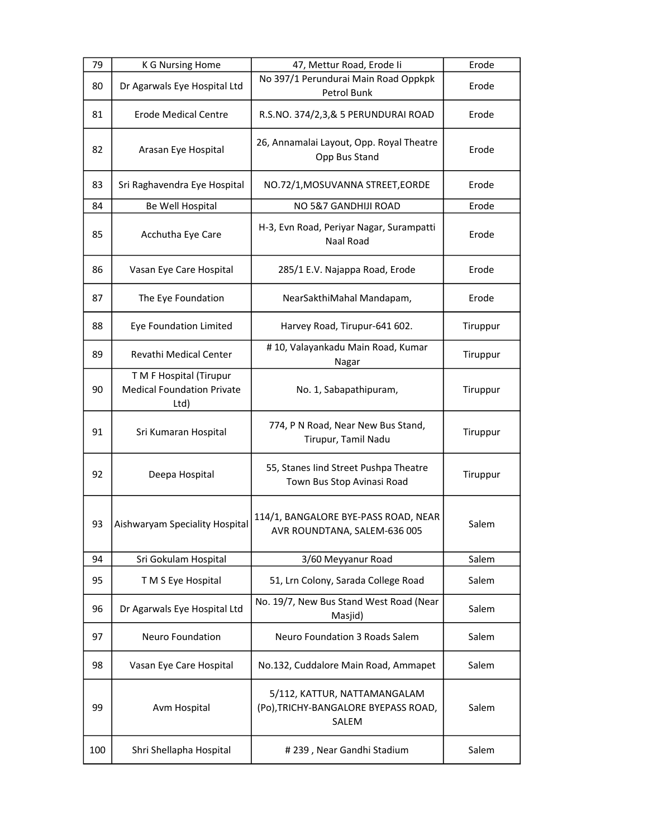| 79  | <b>K G Nursing Home</b>                                              | 47, Mettur Road, Erode li                                                     | Erode    |
|-----|----------------------------------------------------------------------|-------------------------------------------------------------------------------|----------|
| 80  | Dr Agarwals Eye Hospital Ltd                                         | No 397/1 Perundurai Main Road Oppkpk<br>Petrol Bunk                           | Erode    |
| 81  | <b>Erode Medical Centre</b>                                          | R.S.NO. 374/2,3,& 5 PERUNDURAI ROAD                                           | Erode    |
| 82  | Arasan Eye Hospital                                                  | 26, Annamalai Layout, Opp. Royal Theatre<br>Opp Bus Stand                     | Erode    |
| 83  | Sri Raghavendra Eye Hospital                                         | NO.72/1, MOSUVANNA STREET, EORDE                                              | Erode    |
| 84  | Be Well Hospital                                                     | NO 5&7 GANDHIJI ROAD                                                          | Erode    |
| 85  | Acchutha Eye Care                                                    | H-3, Evn Road, Periyar Nagar, Surampatti<br>Naal Road                         | Erode    |
| 86  | Vasan Eye Care Hospital                                              | 285/1 E.V. Najappa Road, Erode                                                | Erode    |
| 87  | The Eye Foundation                                                   | NearSakthiMahal Mandapam,                                                     | Erode    |
| 88  | Eye Foundation Limited                                               | Harvey Road, Tirupur-641 602.                                                 | Tiruppur |
| 89  | Revathi Medical Center                                               | #10, Valayankadu Main Road, Kumar<br>Nagar                                    | Tiruppur |
| 90  | T M F Hospital (Tirupur<br><b>Medical Foundation Private</b><br>Ltd) | No. 1, Sabapathipuram,                                                        | Tiruppur |
| 91  | Sri Kumaran Hospital                                                 | 774, P N Road, Near New Bus Stand,<br>Tirupur, Tamil Nadu                     | Tiruppur |
| 92  | Deepa Hospital                                                       | 55, Stanes lind Street Pushpa Theatre<br>Town Bus Stop Avinasi Road           | Tiruppur |
| 93  | Aishwaryam Speciality Hospital                                       | 114/1, BANGALORE BYE-PASS ROAD, NEAR<br>AVR ROUNDTANA, SALEM-636 005          | Salem    |
| 94  | Sri Gokulam Hospital                                                 | 3/60 Meyyanur Road                                                            | Salem    |
| 95  | T M S Eye Hospital                                                   | 51, Lrn Colony, Sarada College Road                                           | Salem    |
| 96  | Dr Agarwals Eye Hospital Ltd                                         | No. 19/7, New Bus Stand West Road (Near<br>Masjid)                            | Salem    |
| 97  | Neuro Foundation                                                     | <b>Neuro Foundation 3 Roads Salem</b>                                         | Salem    |
| 98  | Vasan Eye Care Hospital                                              | No.132, Cuddalore Main Road, Ammapet                                          | Salem    |
| 99  | Avm Hospital                                                         | 5/112, KATTUR, NATTAMANGALAM<br>(Po), TRICHY-BANGALORE BYEPASS ROAD,<br>SALEM | Salem    |
| 100 | Shri Shellapha Hospital                                              | #239, Near Gandhi Stadium                                                     | Salem    |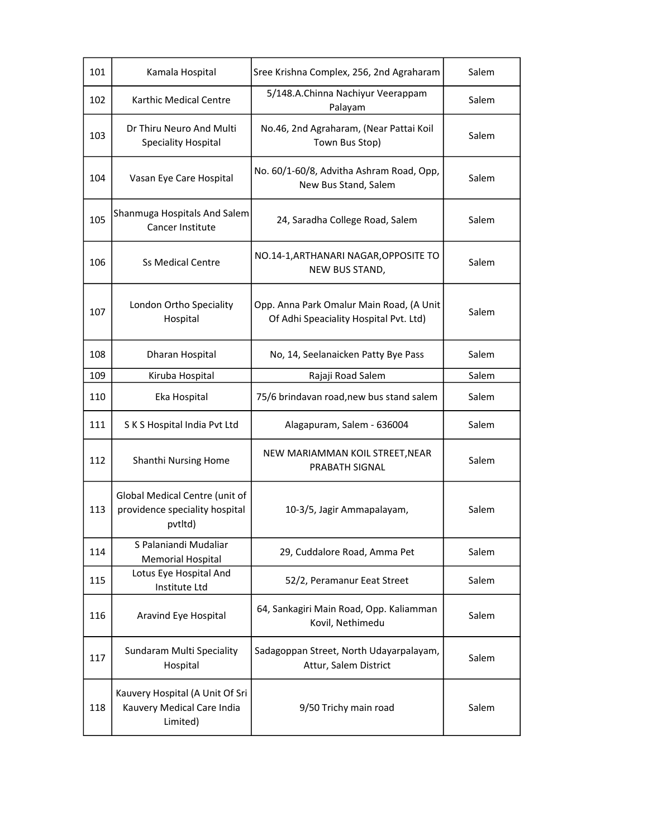| 101 | Kamala Hospital                                                             | Sree Krishna Complex, 256, 2nd Agraharam                                           | Salem |
|-----|-----------------------------------------------------------------------------|------------------------------------------------------------------------------------|-------|
| 102 | Karthic Medical Centre                                                      | 5/148.A.Chinna Nachiyur Veerappam<br>Palayam                                       | Salem |
| 103 | Dr Thiru Neuro And Multi<br><b>Speciality Hospital</b>                      | No.46, 2nd Agraharam, (Near Pattai Koil<br>Town Bus Stop)                          | Salem |
| 104 | Vasan Eye Care Hospital                                                     | No. 60/1-60/8, Advitha Ashram Road, Opp,<br>New Bus Stand, Salem                   | Salem |
| 105 | Shanmuga Hospitals And Salem<br>Cancer Institute                            | 24, Saradha College Road, Salem                                                    | Salem |
| 106 | <b>Ss Medical Centre</b>                                                    | NO.14-1, ARTHANARI NAGAR, OPPOSITE TO<br>NEW BUS STAND,                            | Salem |
| 107 | London Ortho Speciality<br>Hospital                                         | Opp. Anna Park Omalur Main Road, (A Unit<br>Of Adhi Speaciality Hospital Pvt. Ltd) | Salem |
| 108 | Dharan Hospital                                                             | No, 14, Seelanaicken Patty Bye Pass                                                | Salem |
| 109 | Kiruba Hospital                                                             | Rajaji Road Salem                                                                  | Salem |
| 110 | Eka Hospital                                                                | 75/6 brindavan road, new bus stand salem                                           | Salem |
| 111 | S K S Hospital India Pvt Ltd                                                | Alagapuram, Salem - 636004                                                         | Salem |
| 112 | Shanthi Nursing Home                                                        | NEW MARIAMMAN KOIL STREET, NEAR<br><b>PRABATH SIGNAL</b>                           | Salem |
| 113 | Global Medical Centre (unit of<br>providence speciality hospital<br>pvtltd) | 10-3/5, Jagir Ammapalayam,                                                         | Salem |
| 114 | S Palaniandi Mudaliar<br>Memorial Hospital                                  | 29, Cuddalore Road, Amma Pet                                                       | Salem |
| 115 | Lotus Eye Hospital And<br>Institute Ltd                                     | 52/2, Peramanur Eeat Street                                                        | Salem |
| 116 | Aravind Eye Hospital                                                        | 64, Sankagiri Main Road, Opp. Kaliamman<br>Kovil, Nethimedu                        | Salem |
| 117 | Sundaram Multi Speciality<br>Hospital                                       | Sadagoppan Street, North Udayarpalayam,<br>Attur, Salem District                   | Salem |
| 118 | Kauvery Hospital (A Unit Of Sri<br>Kauvery Medical Care India<br>Limited)   | 9/50 Trichy main road                                                              | Salem |